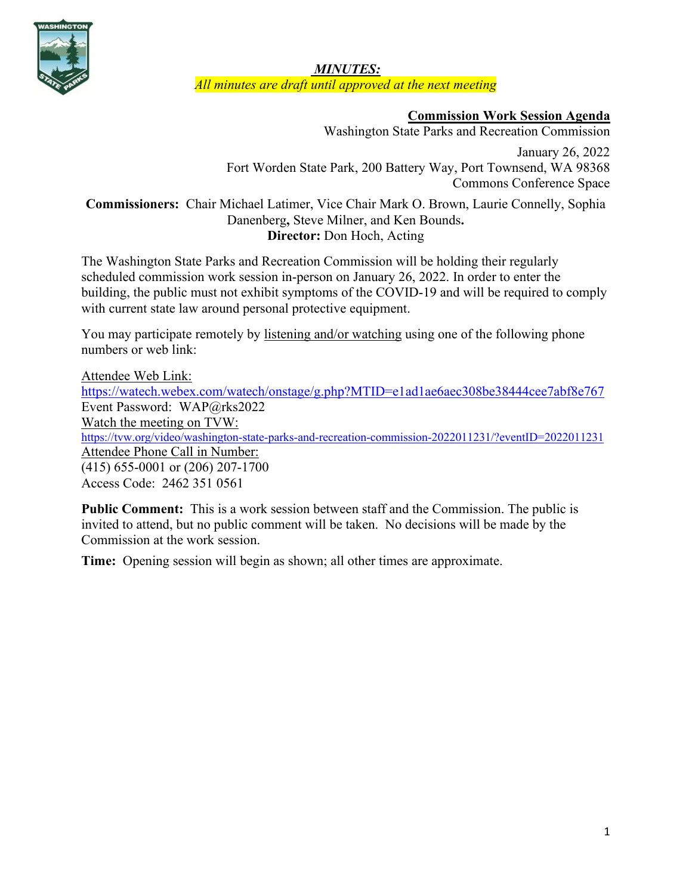

*MINUTES: All minutes are draft until approved at the next meeting*

# **Commission Work Session Agenda**

Washington State Parks and Recreation Commission

January 26, 2022 Fort Worden State Park, 200 Battery Way, Port Townsend, WA 98368 Commons Conference Space

**Commissioners:** Chair Michael Latimer, Vice Chair Mark O. Brown, Laurie Connelly, Sophia Danenberg**,** Steve Milner, and Ken Bounds**. Director:** Don Hoch, Acting

The Washington State Parks and Recreation Commission will be holding their regularly scheduled commission work session in-person on January 26, 2022. In order to enter the building, the public must not exhibit symptoms of the COVID-19 and will be required to comply with current state law around personal protective equipment.

You may participate remotely by listening and/or watching using one of the following phone numbers or web link:

Attendee Web Link: <https://watech.webex.com/watech/onstage/g.php?MTID=e1ad1ae6aec308be38444cee7abf8e767> Event Password: WAP@rks2022 Watch the meeting on TVW: <https://tvw.org/video/washington-state-parks-and-recreation-commission-2022011231/?eventID=2022011231> Attendee Phone Call in Number: (415) 655-0001 or (206) 207-1700 Access Code: 2462 351 0561

**Public Comment:** This is a work session between staff and the Commission. The public is invited to attend, but no public comment will be taken. No decisions will be made by the Commission at the work session.

**Time:** Opening session will begin as shown; all other times are approximate.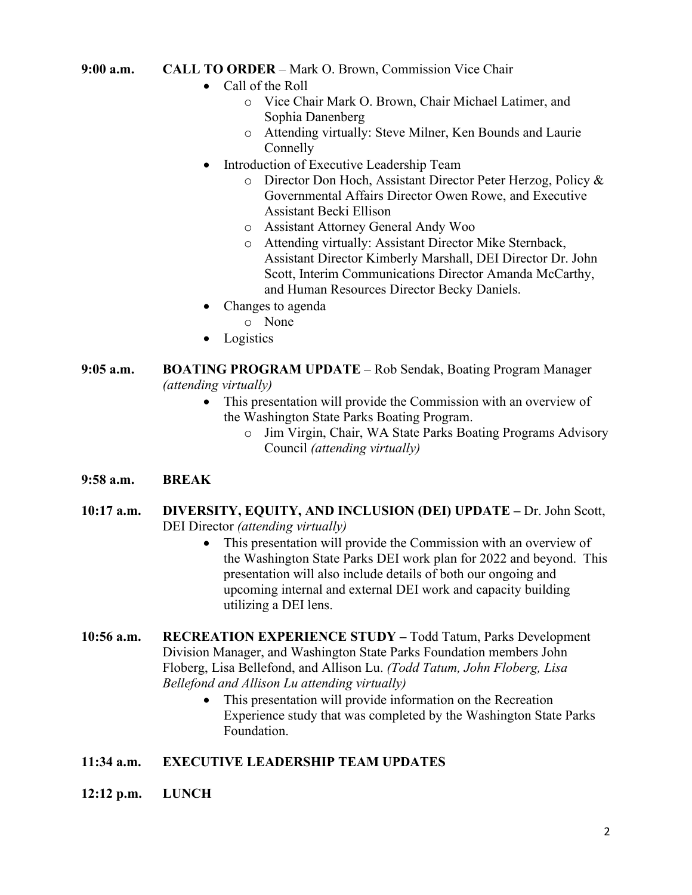#### **9:00 a.m. CALL TO ORDER** – Mark O. Brown, Commission Vice Chair

- Call of the Roll
	- o Vice Chair Mark O. Brown, Chair Michael Latimer, and Sophia Danenberg
	- o Attending virtually: Steve Milner, Ken Bounds and Laurie Connelly
- Introduction of Executive Leadership Team
	- o Director Don Hoch, Assistant Director Peter Herzog, Policy & Governmental Affairs Director Owen Rowe, and Executive Assistant Becki Ellison
	- o Assistant Attorney General Andy Woo
	- o Attending virtually: Assistant Director Mike Sternback, Assistant Director Kimberly Marshall, DEI Director Dr. John Scott, Interim Communications Director Amanda McCarthy, and Human Resources Director Becky Daniels.
- Changes to agenda
	- o None
- **Logistics**
- **9:05 a.m. BOATING PROGRAM UPDATE**  Rob Sendak, Boating Program Manager *(attending virtually)*
	- This presentation will provide the Commission with an overview of the Washington State Parks Boating Program.
		- o Jim Virgin, Chair, WA State Parks Boating Programs Advisory Council *(attending virtually)*
- **9:58 a.m. BREAK**
- **10:17 a.m. DIVERSITY, EQUITY, AND INCLUSION (DEI) UPDATE –** Dr. John Scott, DEI Director *(attending virtually)*
	- This presentation will provide the Commission with an overview of the Washington State Parks DEI work plan for 2022 and beyond. This presentation will also include details of both our ongoing and upcoming internal and external DEI work and capacity building utilizing a DEI lens.
- **10:56 a.m. RECREATION EXPERIENCE STUDY –** Todd Tatum, Parks Development Division Manager, and Washington State Parks Foundation members John Floberg, Lisa Bellefond, and Allison Lu. *(Todd Tatum, John Floberg, Lisa Bellefond and Allison Lu attending virtually)*
	- This presentation will provide information on the Recreation Experience study that was completed by the Washington State Parks Foundation.

# **11:34 a.m. EXECUTIVE LEADERSHIP TEAM UPDATES**

**12:12 p.m. LUNCH**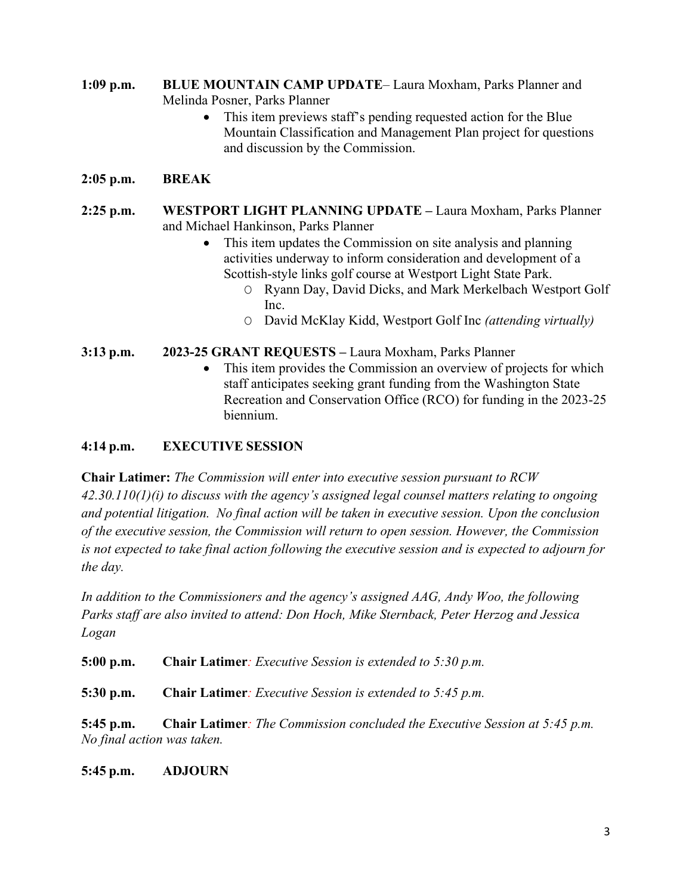**1:09 p.m. BLUE MOUNTAIN CAMP UPDATE**– Laura Moxham, Parks Planner and Melinda Posner, Parks Planner

> • This item previews staff's pending requested action for the Blue Mountain Classification and Management Plan project for questions and discussion by the Commission.

### **2:05 p.m. BREAK**

- **2:25 p.m. WESTPORT LIGHT PLANNING UPDATE –** Laura Moxham, Parks Planner and Michael Hankinson, Parks Planner
	- This item updates the Commission on site analysis and planning activities underway to inform consideration and development of a Scottish-style links golf course at Westport Light State Park.
		- O Ryann Day, David Dicks, and Mark Merkelbach Westport Golf Inc.
		- O David McKlay Kidd, Westport Golf Inc *(attending virtually)*

#### **3:13 p.m. 2023-25 GRANT REQUESTS –** Laura Moxham, Parks Planner

This item provides the Commission an overview of projects for which staff anticipates seeking grant funding from the Washington State Recreation and Conservation Office (RCO) for funding in the 2023-25 biennium.

#### **4:14 p.m. EXECUTIVE SESSION**

**Chair Latimer:** *The Commission will enter into executive session pursuant to RCW 42.30.110(1)(i) to discuss with the agency's assigned legal counsel matters relating to ongoing and potential litigation. No final action will be taken in executive session. Upon the conclusion of the executive session, the Commission will return to open session. However, the Commission is not expected to take final action following the executive session and is expected to adjourn for the day.*

*In addition to the Commissioners and the agency's assigned AAG, Andy Woo, the following Parks staff are also invited to attend: Don Hoch, Mike Sternback, Peter Herzog and Jessica Logan*

**5:00 p.m. Chair Latimer***: Executive Session is extended to 5:30 p.m.* 

**5:30 p.m. Chair Latimer***: Executive Session is extended to 5:45 p.m.*

**5:45 p.m. Chair Latimer***: The Commission concluded the Executive Session at 5:45 p.m. No final action was taken.* 

**5:45 p.m. ADJOURN**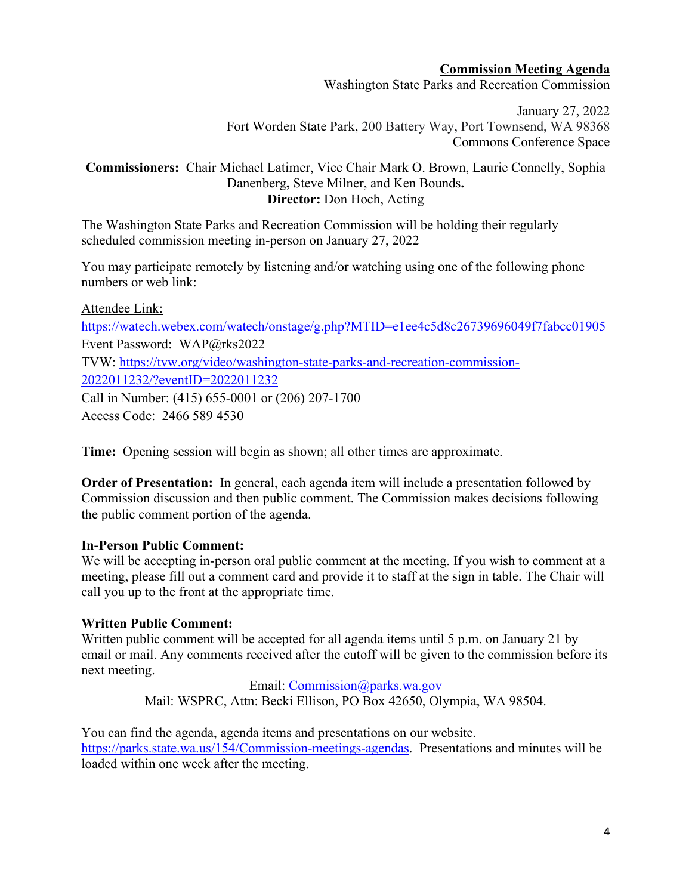#### **Commission Meeting Agenda**

Washington State Parks and Recreation Commission

January 27, 2022 Fort Worden State Park, 200 Battery Way, Port Townsend, WA 98368 Commons Conference Space

### **Commissioners:** Chair Michael Latimer, Vice Chair Mark O. Brown, Laurie Connelly, Sophia Danenberg**,** Steve Milner, and Ken Bounds**. Director:** Don Hoch, Acting

The Washington State Parks and Recreation Commission will be holding their regularly scheduled commission meeting in-person on January 27, 2022

You may participate remotely by listening and/or watching using one of the following phone numbers or web link:

Attendee Link: <https://watech.webex.com/watech/onstage/g.php?MTID=e1ee4c5d8c26739696049f7fabcc01905> Event Password: WAP@rks2022 TVW: [https://tvw.org/video/washington-state-parks-and-recreation-commission-](https://tvw.org/video/washington-state-parks-and-recreation-commission-2022011232/?eventID=2022011232)[2022011232/?eventID=2022011232](https://tvw.org/video/washington-state-parks-and-recreation-commission-2022011232/?eventID=2022011232) Call in Number: (415) 655-0001 or (206) 207-1700 Access Code: 2466 589 4530

**Time:** Opening session will begin as shown; all other times are approximate.

**Order of Presentation:** In general, each agenda item will include a presentation followed by Commission discussion and then public comment. The Commission makes decisions following the public comment portion of the agenda.

#### **In-Person Public Comment:**

We will be accepting in-person oral public comment at the meeting. If you wish to comment at a meeting, please fill out a comment card and provide it to staff at the sign in table. The Chair will call you up to the front at the appropriate time.

# **Written Public Comment:**

Written public comment will be accepted for all agenda items until 5 p.m. on January 21 by email or mail. Any comments received after the cutoff will be given to the commission before its next meeting.

> Email: [Commission@parks.wa.gov](mailto:Commission@parks.wa.gov) Mail: WSPRC, Attn: Becki Ellison, PO Box 42650, Olympia, WA 98504.

You can find the agenda, agenda items and presentations on our website. [https://parks.state.wa.us/154/Commission-meetings-agendas.](https://parks.state.wa.us/154/Commission-meetings-agendas) Presentations and minutes will be loaded within one week after the meeting.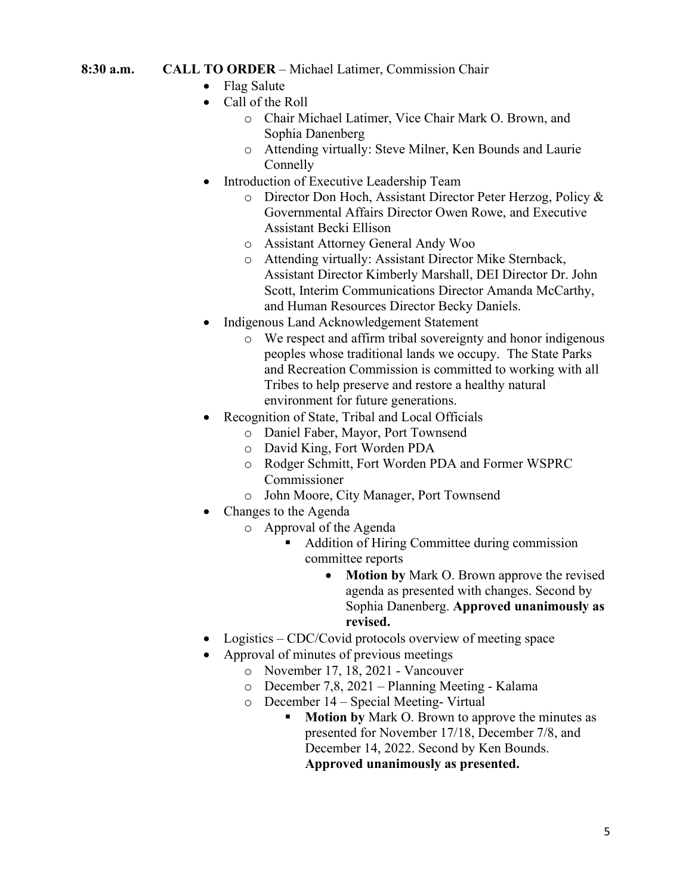### **8:30 a.m. CALL TO ORDER** – Michael Latimer, Commission Chair

- Flag Salute
- Call of the Roll
	- o Chair Michael Latimer, Vice Chair Mark O. Brown, and Sophia Danenberg
	- o Attending virtually: Steve Milner, Ken Bounds and Laurie Connelly
- Introduction of Executive Leadership Team
	- o Director Don Hoch, Assistant Director Peter Herzog, Policy & Governmental Affairs Director Owen Rowe, and Executive Assistant Becki Ellison
	- o Assistant Attorney General Andy Woo
	- o Attending virtually: Assistant Director Mike Sternback, Assistant Director Kimberly Marshall, DEI Director Dr. John Scott, Interim Communications Director Amanda McCarthy, and Human Resources Director Becky Daniels.
- Indigenous Land Acknowledgement Statement
	- o We respect and affirm tribal sovereignty and honor indigenous peoples whose traditional lands we occupy. The State Parks and Recreation Commission is committed to working with all Tribes to help preserve and restore a healthy natural environment for future generations.
- Recognition of State, Tribal and Local Officials
	- o Daniel Faber, Mayor, Port Townsend
	- o David King, Fort Worden PDA
	- o Rodger Schmitt, Fort Worden PDA and Former WSPRC Commissioner
	- o John Moore, City Manager, Port Townsend
- Changes to the Agenda
	- o Approval of the Agenda
		- Addition of Hiring Committee during commission committee reports
			- **Motion by** Mark O. Brown approve the revised agenda as presented with changes. Second by Sophia Danenberg. **Approved unanimously as revised.**
- Logistics CDC/Covid protocols overview of meeting space
- Approval of minutes of previous meetings
	- o November 17, 18, 2021 Vancouver
	- o December 7,8, 2021 Planning Meeting Kalama
	- $\circ$  December 14 Special Meeting- Virtual<br>
	Motion by Mark O. Brown to any
		- **Motion by** Mark O. Brown to approve the minutes as presented for November 17/18, December 7/8, and December 14, 2022. Second by Ken Bounds. **Approved unanimously as presented.**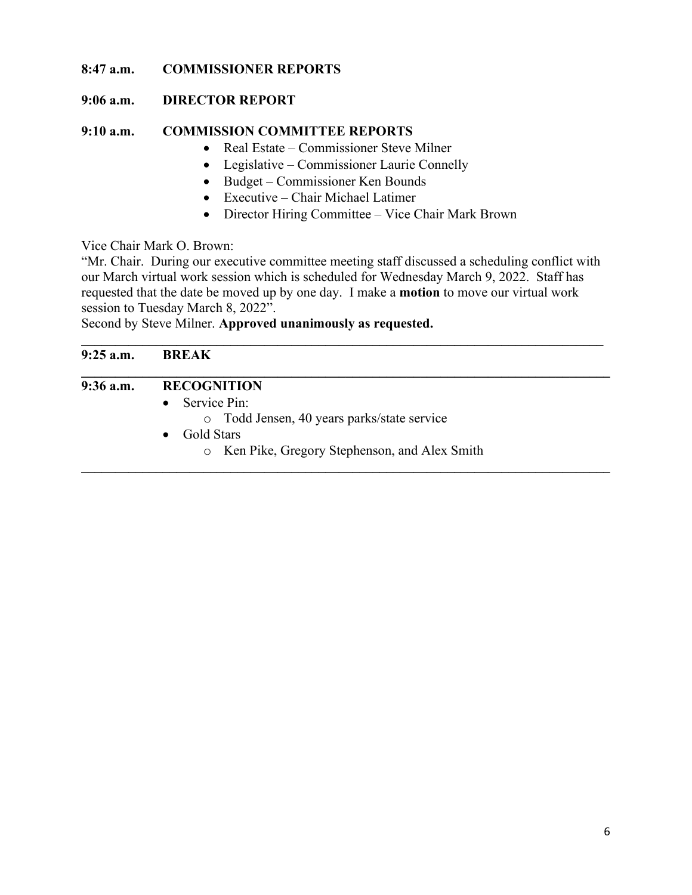# **8:47 a.m. COMMISSIONER REPORTS**

# **9:06 a.m. DIRECTOR REPORT**

# **9:10 a.m. COMMISSION COMMITTEE REPORTS**

- Real Estate Commissioner Steve Milner
- Legislative Commissioner Laurie Connelly
- Budget Commissioner Ken Bounds
- Executive Chair Michael Latimer
- Director Hiring Committee Vice Chair Mark Brown

# Vice Chair Mark O. Brown:

"Mr. Chair. During our executive committee meeting staff discussed a scheduling conflict with our March virtual work session which is scheduled for Wednesday March 9, 2022. Staff has requested that the date be moved up by one day. I make a **motion** to move our virtual work session to Tuesday March 8, 2022".

Second by Steve Milner. **Approved unanimously as requested.**

| $9:25$ a.m. | <b>BREAK</b>                                   |
|-------------|------------------------------------------------|
| $9:36$ a.m. | <b>RECOGNITION</b>                             |
|             | Service Pin:<br>$\bullet$                      |
|             | o Todd Jensen, 40 years parks/state service    |
|             | Gold Stars<br>$\bullet$                        |
|             | o Ken Pike, Gregory Stephenson, and Alex Smith |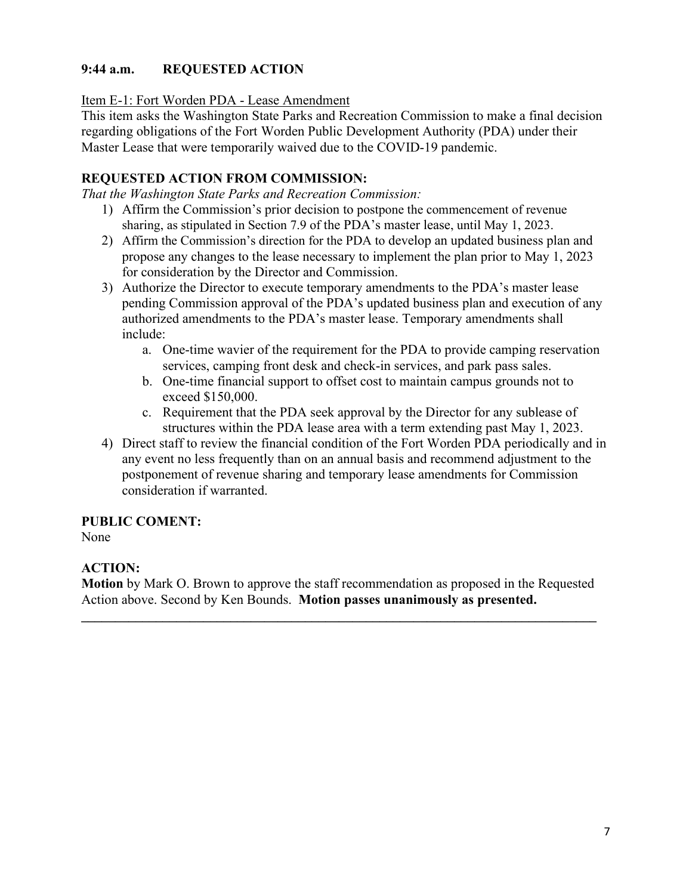# **9:44 a.m. REQUESTED ACTION**

Item E-1: Fort Worden PDA - Lease Amendment

This item asks the Washington State Parks and Recreation Commission to make a final decision regarding obligations of the Fort Worden Public Development Authority (PDA) under their Master Lease that were temporarily waived due to the COVID-19 pandemic.

# **REQUESTED ACTION FROM COMMISSION:**

*That the Washington State Parks and Recreation Commission:*

- 1) Affirm the Commission's prior decision to postpone the commencement of revenue sharing, as stipulated in Section 7.9 of the PDA's master lease, until May 1, 2023.
- 2) Affirm the Commission's direction for the PDA to develop an updated business plan and propose any changes to the lease necessary to implement the plan prior to May 1, 2023 for consideration by the Director and Commission.
- 3) Authorize the Director to execute temporary amendments to the PDA's master lease pending Commission approval of the PDA's updated business plan and execution of any authorized amendments to the PDA's master lease. Temporary amendments shall include:
	- a. One-time wavier of the requirement for the PDA to provide camping reservation services, camping front desk and check-in services, and park pass sales.
	- b. One-time financial support to offset cost to maintain campus grounds not to exceed \$150,000.
	- c. Requirement that the PDA seek approval by the Director for any sublease of structures within the PDA lease area with a term extending past May 1, 2023.
- 4) Direct staff to review the financial condition of the Fort Worden PDA periodically and in any event no less frequently than on an annual basis and recommend adjustment to the postponement of revenue sharing and temporary lease amendments for Commission consideration if warranted.

# **PUBLIC COMENT:**

None

# **ACTION:**

**Motion** by Mark O. Brown to approve the staff recommendation as proposed in the Requested Action above. Second by Ken Bounds. **Motion passes unanimously as presented.**

**\_\_\_\_\_\_\_\_\_\_\_\_\_\_\_\_\_\_\_\_\_\_\_\_\_\_\_\_\_\_\_\_\_\_\_\_\_\_\_\_\_\_\_\_\_\_\_\_\_\_\_\_\_\_\_\_\_\_\_\_\_\_\_\_\_\_\_\_\_\_\_\_\_\_\_\_**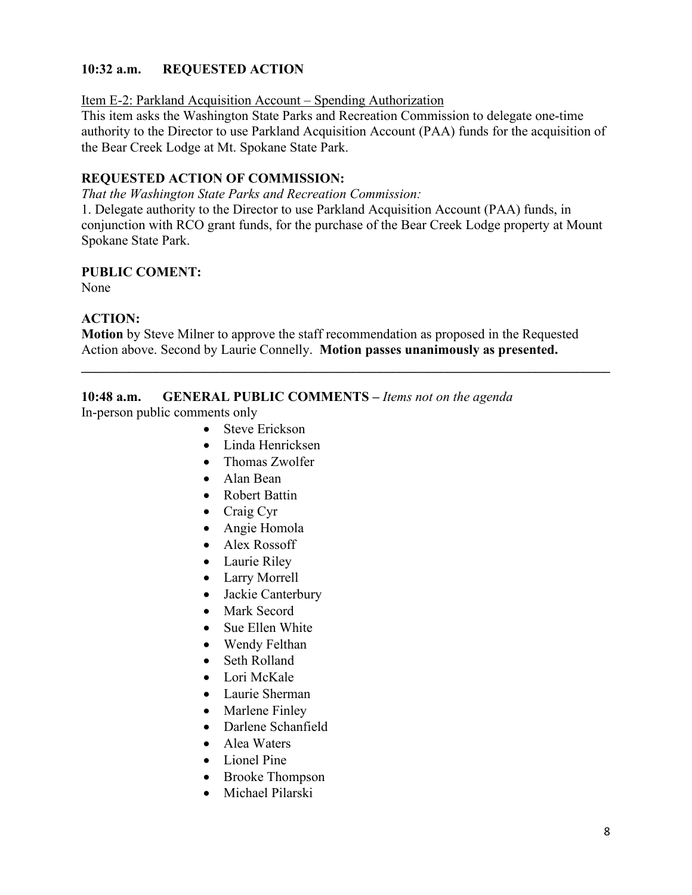# **10:32 a.m. REQUESTED ACTION**

Item E-2: Parkland Acquisition Account – Spending Authorization

This item asks the Washington State Parks and Recreation Commission to delegate one-time authority to the Director to use Parkland Acquisition Account (PAA) funds for the acquisition of the Bear Creek Lodge at Mt. Spokane State Park.

# **REQUESTED ACTION OF COMMISSION:**

*That the Washington State Parks and Recreation Commission:*

1. Delegate authority to the Director to use Parkland Acquisition Account (PAA) funds, in conjunction with RCO grant funds, for the purchase of the Bear Creek Lodge property at Mount Spokane State Park.

# **PUBLIC COMENT:**

None

# **ACTION:**

**Motion** by Steve Milner to approve the staff recommendation as proposed in the Requested Action above. Second by Laurie Connelly. **Motion passes unanimously as presented.**

**\_\_\_\_\_\_\_\_\_\_\_\_\_\_\_\_\_\_\_\_\_\_\_\_\_\_\_\_\_\_\_\_\_\_\_\_\_\_\_\_\_\_\_\_\_\_\_\_\_\_\_\_\_\_\_\_\_\_\_\_\_\_\_\_\_\_\_\_\_\_\_\_\_\_\_\_\_\_**

# **10:48 a.m. GENERAL PUBLIC COMMENTS –** *Items not on the agenda*

In-person public comments only

- Steve Erickson
- Linda Henricksen
- Thomas Zwolfer
- Alan Bean
- Robert Battin
- Craig Cyr
- Angie Homola
- Alex Rossoff
- Laurie Riley
- Larry Morrell
- Jackie Canterbury
- Mark Secord
- Sue Ellen White
- Wendy Felthan
- Seth Rolland
- Lori McKale
- Laurie Sherman
- Marlene Finley
- Darlene Schanfield
- Alea Waters
- Lionel Pine
- Brooke Thompson
- Michael Pilarski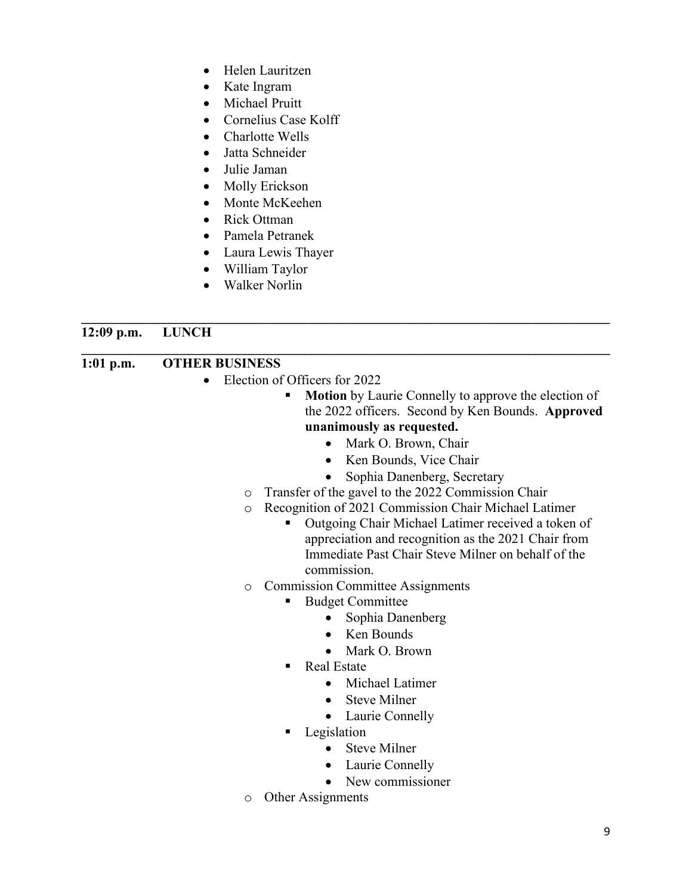- Helen Lauritzen
- Kate Ingram
- Michael Pruitt
- Cornelius Case Kolff
- Charlotte Wells
- Jatta Schneider
- Julie Jaman
- Molly Erickson
- Monte McKeehen
- Rick Ottman
- Pamela Petranek
- Laura Lewis Thayer
- William Taylor
- Walker Norlin

#### **\_\_\_\_\_\_\_\_\_\_\_\_\_\_\_\_\_\_\_\_\_\_\_\_\_\_\_\_\_\_\_\_\_\_\_\_\_\_\_\_\_\_\_\_\_\_\_\_\_\_\_\_\_\_\_\_\_\_\_\_\_\_\_\_\_\_\_\_\_\_\_\_\_\_\_\_\_\_ 12:09 p.m. LUNCH**

#### **\_\_\_\_\_\_\_\_\_\_\_\_\_\_\_\_\_\_\_\_\_\_\_\_\_\_\_\_\_\_\_\_\_\_\_\_\_\_\_\_\_\_\_\_\_\_\_\_\_\_\_\_\_\_\_\_\_\_\_\_\_\_\_\_\_\_\_\_\_\_\_\_\_\_\_\_\_\_ 1:01 p.m. OTHER BUSINESS**

- Election of Officers for 2022
	- **Motion** by Laurie Connelly to approve the election of the 2022 officers. Second by Ken Bounds. **Approved unanimously as requested.**
		- Mark O. Brown, Chair
		- Ken Bounds, Vice Chair
		- Sophia Danenberg, Secretary
	- o Transfer of the gavel to the 2022 Commission Chair
	- o Recognition of 2021 Commission Chair Michael Latimer
		- Outgoing Chair Michael Latimer received a token of appreciation and recognition as the 2021 Chair from Immediate Past Chair Steve Milner on behalf of the commission.

# o Commission Committee Assignments

- Budget Committee
	- Sophia Danenberg
	- Ken Bounds
	- Mark O. Brown
- Real Estate
	- Michael Latimer
	- Steve Milner
	- Laurie Connelly
- **Legislation** 
	- Steve Milner
	- Laurie Connelly
	- New commissioner
- o Other Assignments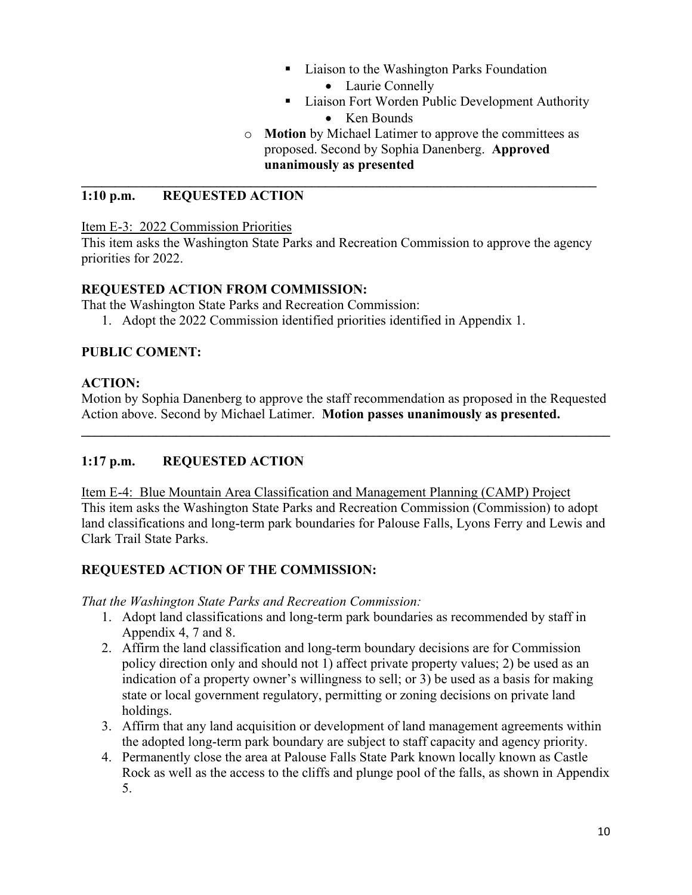- Liaison to the Washington Parks Foundation
	- Laurie Connelly
- **Example 3** Liaison Fort Worden Public Development Authority
	- Ken Bounds
- o **Motion** by Michael Latimer to approve the committees as proposed. Second by Sophia Danenberg. **Approved unanimously as presented**

### **1:10 p.m. REQUESTED ACTION**

Item E-3: 2022 Commission Priorities

This item asks the Washington State Parks and Recreation Commission to approve the agency priorities for 2022.

**\_\_\_\_\_\_\_\_\_\_\_\_\_\_\_\_\_\_\_\_\_\_\_\_\_\_\_\_\_\_\_\_\_\_\_\_\_\_\_\_\_\_\_\_\_\_\_\_\_\_\_\_\_\_\_\_\_\_\_\_\_\_\_\_\_\_\_\_\_\_\_\_\_\_\_\_**

#### **REQUESTED ACTION FROM COMMISSION:**

That the Washington State Parks and Recreation Commission:

1. Adopt the 2022 Commission identified priorities identified in Appendix 1.

#### **PUBLIC COMENT:**

#### **ACTION:**

Motion by Sophia Danenberg to approve the staff recommendation as proposed in the Requested Action above. Second by Michael Latimer. **Motion passes unanimously as presented.**

**\_\_\_\_\_\_\_\_\_\_\_\_\_\_\_\_\_\_\_\_\_\_\_\_\_\_\_\_\_\_\_\_\_\_\_\_\_\_\_\_\_\_\_\_\_\_\_\_\_\_\_\_\_\_\_\_\_\_\_\_\_\_\_\_\_\_\_\_\_\_\_\_\_\_\_\_\_\_**

# **1:17 p.m. REQUESTED ACTION**

Item E-4: Blue Mountain Area Classification and Management Planning (CAMP) Project This item asks the Washington State Parks and Recreation Commission (Commission) to adopt land classifications and long-term park boundaries for Palouse Falls, Lyons Ferry and Lewis and Clark Trail State Parks.

# **REQUESTED ACTION OF THE COMMISSION:**

*That the Washington State Parks and Recreation Commission:*

- 1. Adopt land classifications and long-term park boundaries as recommended by staff in Appendix 4, 7 and 8.
- 2. Affirm the land classification and long-term boundary decisions are for Commission policy direction only and should not 1) affect private property values; 2) be used as an indication of a property owner's willingness to sell; or 3) be used as a basis for making state or local government regulatory, permitting or zoning decisions on private land holdings.
- 3. Affirm that any land acquisition or development of land management agreements within the adopted long-term park boundary are subject to staff capacity and agency priority.
- 4. Permanently close the area at Palouse Falls State Park known locally known as Castle Rock as well as the access to the cliffs and plunge pool of the falls, as shown in Appendix 5.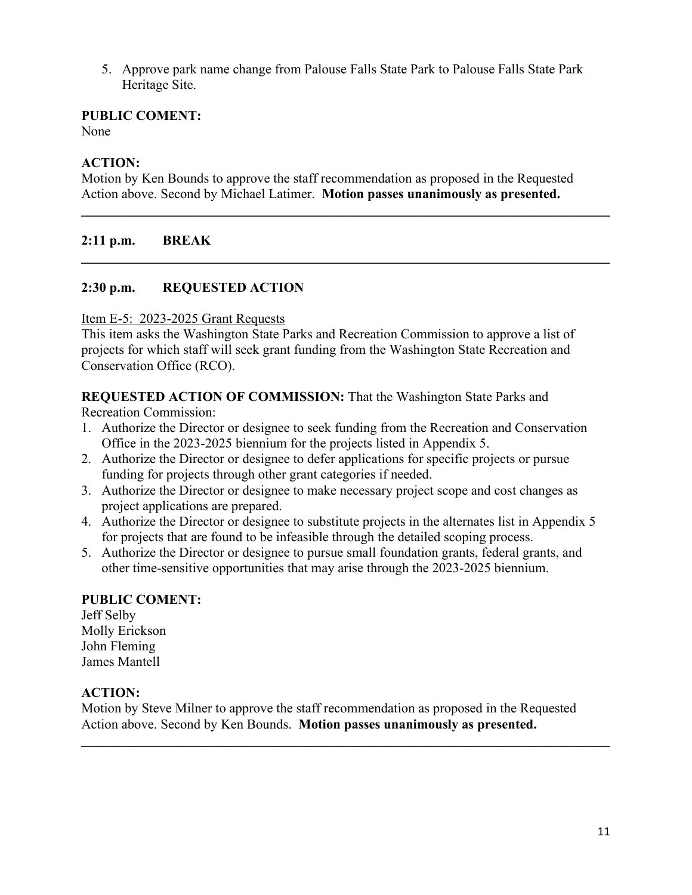5. Approve park name change from Palouse Falls State Park to Palouse Falls State Park Heritage Site.

#### **PUBLIC COMENT:**

None

#### **ACTION:**

Motion by Ken Bounds to approve the staff recommendation as proposed in the Requested Action above. Second by Michael Latimer. **Motion passes unanimously as presented.**

**\_\_\_\_\_\_\_\_\_\_\_\_\_\_\_\_\_\_\_\_\_\_\_\_\_\_\_\_\_\_\_\_\_\_\_\_\_\_\_\_\_\_\_\_\_\_\_\_\_\_\_\_\_\_\_\_\_\_\_\_\_\_\_\_\_\_\_\_\_\_\_\_\_\_\_\_\_\_**

**\_\_\_\_\_\_\_\_\_\_\_\_\_\_\_\_\_\_\_\_\_\_\_\_\_\_\_\_\_\_\_\_\_\_\_\_\_\_\_\_\_\_\_\_\_\_\_\_\_\_\_\_\_\_\_\_\_\_\_\_\_\_\_\_\_\_\_\_\_\_\_\_\_\_\_\_\_\_**

#### **2:11 p.m. BREAK**

#### **2:30 p.m. REQUESTED ACTION**

#### Item E-5: 2023-2025 Grant Requests

This item asks the Washington State Parks and Recreation Commission to approve a list of projects for which staff will seek grant funding from the Washington State Recreation and Conservation Office (RCO).

**REQUESTED ACTION OF COMMISSION:** That the Washington State Parks and

Recreation Commission:

- 1. Authorize the Director or designee to seek funding from the Recreation and Conservation Office in the 2023-2025 biennium for the projects listed in Appendix 5.
- 2. Authorize the Director or designee to defer applications for specific projects or pursue funding for projects through other grant categories if needed.
- 3. Authorize the Director or designee to make necessary project scope and cost changes as project applications are prepared.
- 4. Authorize the Director or designee to substitute projects in the alternates list in Appendix 5 for projects that are found to be infeasible through the detailed scoping process.
- 5. Authorize the Director or designee to pursue small foundation grants, federal grants, and other time-sensitive opportunities that may arise through the 2023-2025 biennium.

#### **PUBLIC COMENT:**

Jeff Selby Molly Erickson John Fleming James Mantell

#### **ACTION:**

Motion by Steve Milner to approve the staff recommendation as proposed in the Requested Action above. Second by Ken Bounds. **Motion passes unanimously as presented.**

**\_\_\_\_\_\_\_\_\_\_\_\_\_\_\_\_\_\_\_\_\_\_\_\_\_\_\_\_\_\_\_\_\_\_\_\_\_\_\_\_\_\_\_\_\_\_\_\_\_\_\_\_\_\_\_\_\_\_\_\_\_\_\_\_\_\_\_\_\_\_\_\_\_\_\_\_\_\_**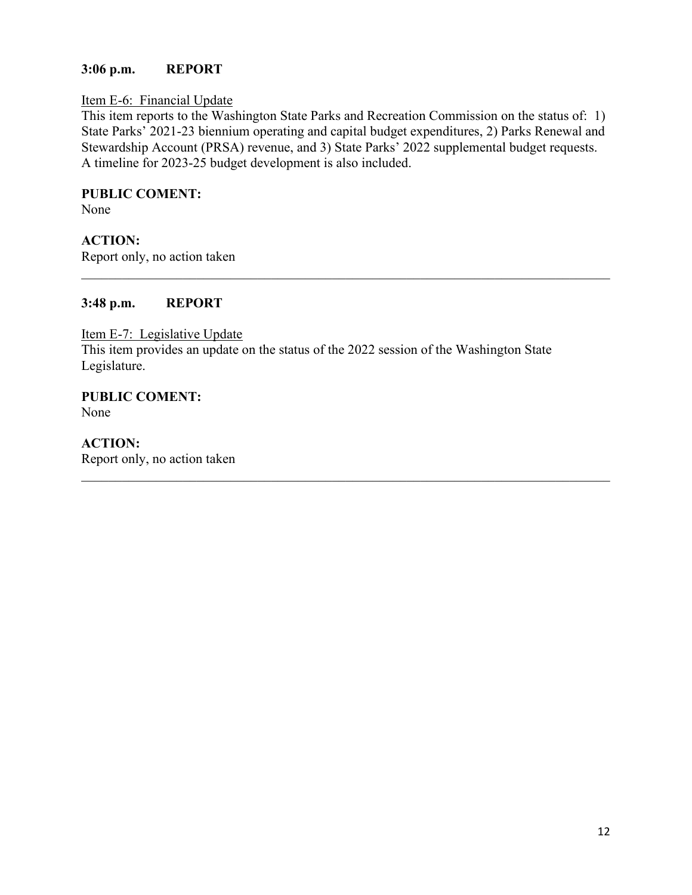#### **3:06 p.m. REPORT**

#### Item E-6: Financial Update

This item reports to the Washington State Parks and Recreation Commission on the status of: 1) State Parks' 2021-23 biennium operating and capital budget expenditures, 2) Parks Renewal and Stewardship Account (PRSA) revenue, and 3) State Parks' 2022 supplemental budget requests. A timeline for 2023-25 budget development is also included.

\_\_\_\_\_\_\_\_\_\_\_\_\_\_\_\_\_\_\_\_\_\_\_\_\_\_\_\_\_\_\_\_\_\_\_\_\_\_\_\_\_\_\_\_\_\_\_\_\_\_\_\_\_\_\_\_\_\_\_\_\_\_\_\_\_\_\_\_\_\_\_\_\_\_\_\_\_\_

 $\mathcal{L}_\mathcal{L} = \mathcal{L}_\mathcal{L} = \mathcal{L}_\mathcal{L} = \mathcal{L}_\mathcal{L} = \mathcal{L}_\mathcal{L} = \mathcal{L}_\mathcal{L} = \mathcal{L}_\mathcal{L} = \mathcal{L}_\mathcal{L} = \mathcal{L}_\mathcal{L} = \mathcal{L}_\mathcal{L} = \mathcal{L}_\mathcal{L} = \mathcal{L}_\mathcal{L} = \mathcal{L}_\mathcal{L} = \mathcal{L}_\mathcal{L} = \mathcal{L}_\mathcal{L} = \mathcal{L}_\mathcal{L} = \mathcal{L}_\mathcal{L}$ 

# **PUBLIC COMENT:**

None

# **ACTION:**

Report only, no action taken

#### **3:48 p.m. REPORT**

Item E-7: Legislative Update This item provides an update on the status of the 2022 session of the Washington State Legislature.

**PUBLIC COMENT:** None

**ACTION:**  Report only, no action taken